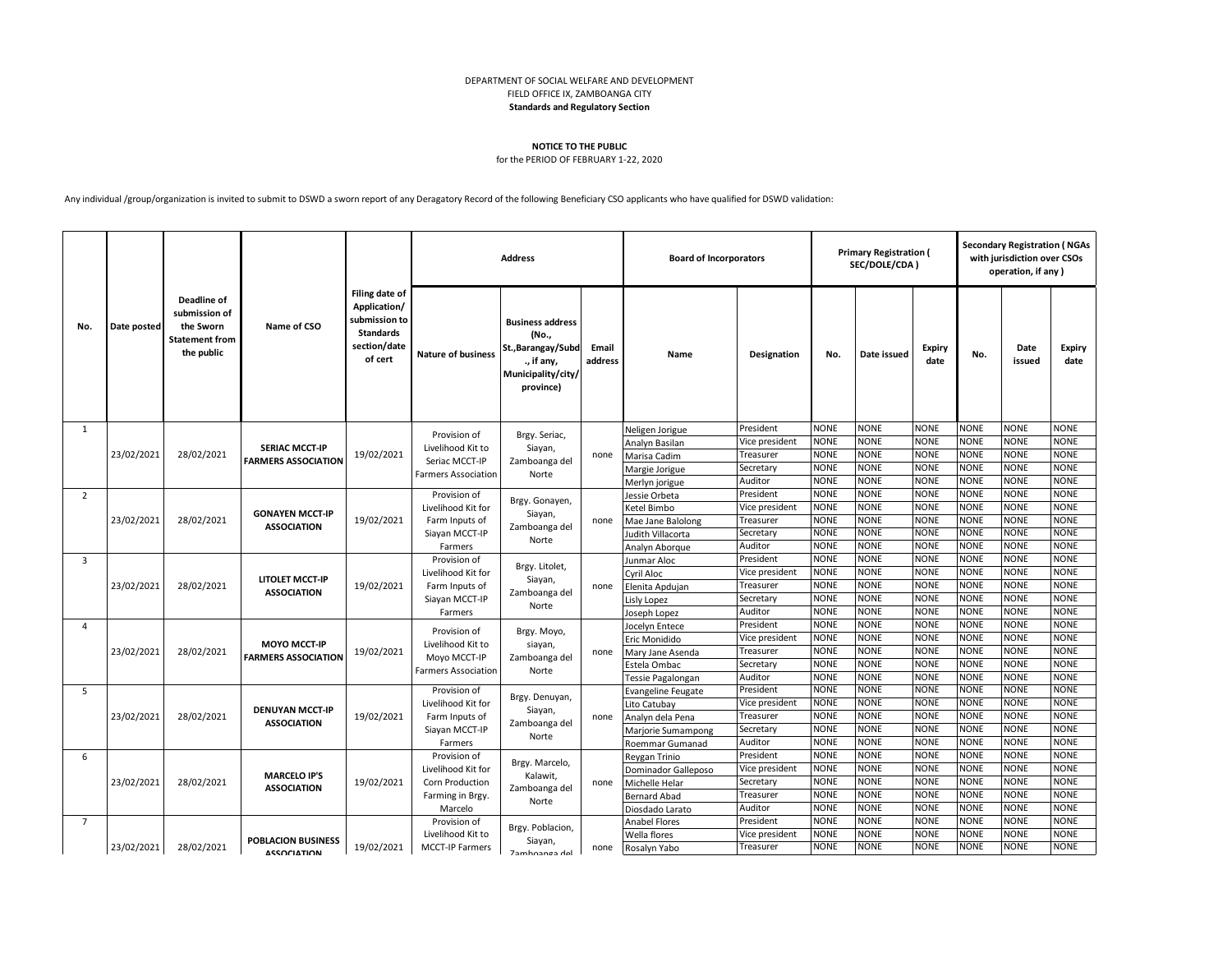## DEPARTMENT OF SOCIAL WELFARE AND DEVELOPMENT FIELD OFFICE IX, ZAMBOANGA CITY **Standards and Regulatory Section**

## **NOTICE TO THE PUBLIC**

## for the PERIOD OF FEBRUARY 1-22, 2020

Any individual /group/organization is invited to submit to DSWD a sworn report of any Deragatory Record of the following Beneficiary CSO applicants who have qualified for DSWD validation:

|                | Date posted | Deadline of<br>submission of<br>the Sworn<br><b>Statement from</b><br>the public | Name of CSO                                         | Filing date of<br>Application/<br>submission to<br><b>Standards</b><br>section/date<br>of cert | <b>Address</b>                                                                       |                                                                                                         |                  | <b>Board of Incorporators</b>         |                                              | <b>Primary Registration (</b><br>SEC/DOLE/CDA) |                            |                            |                            | <b>Secondary Registration (NGAs</b><br>with jurisdiction over CSOs<br>operation, if any) |                            |  |
|----------------|-------------|----------------------------------------------------------------------------------|-----------------------------------------------------|------------------------------------------------------------------------------------------------|--------------------------------------------------------------------------------------|---------------------------------------------------------------------------------------------------------|------------------|---------------------------------------|----------------------------------------------|------------------------------------------------|----------------------------|----------------------------|----------------------------|------------------------------------------------------------------------------------------|----------------------------|--|
| No.            |             |                                                                                  |                                                     |                                                                                                | <b>Nature of business</b>                                                            | <b>Business address</b><br>(No.,<br>St., Barangay/Subd<br>., if any,<br>Municipality/city/<br>province) | Email<br>address | Name                                  | Designation                                  | No.                                            | Date issued                | <b>Expiry</b><br>date      | No.                        | Date<br>issued                                                                           | Expiry<br>date             |  |
| 1              |             |                                                                                  |                                                     |                                                                                                | Provision of                                                                         | Brgy. Seriac,<br>Siayan,<br>Zamboanga del<br>Norte                                                      | none             | Neligen Jorigue                       | President                                    | <b>NONE</b>                                    | <b>NONE</b>                | <b>NONE</b>                | <b>NONE</b>                | <b>NONE</b>                                                                              | <b>NONE</b>                |  |
|                |             | 28/02/2021                                                                       | <b>SERIAC MCCT-IP</b><br><b>FARMERS ASSOCIATION</b> | 19/02/2021                                                                                     | Livelihood Kit to<br>Seriac MCCT-IP<br><b>Farmers Association</b><br>Provision of    |                                                                                                         |                  | Analyn Basilan                        | Vice president                               | <b>NONE</b>                                    | <b>NONE</b>                | <b>NONE</b>                | <b>NONE</b>                | <b>NONE</b>                                                                              | <b>NONE</b>                |  |
| $\overline{2}$ | 23/02/2021  |                                                                                  |                                                     |                                                                                                |                                                                                      |                                                                                                         |                  | Marisa Cadim                          | Treasurer                                    | <b>NONE</b>                                    | <b>NONE</b>                | <b>NONE</b>                | <b>NONE</b>                | <b>NONE</b>                                                                              | <b>NONE</b>                |  |
|                |             |                                                                                  |                                                     |                                                                                                |                                                                                      |                                                                                                         |                  | Margie Jorigue                        | Secretary<br>Auditor                         | <b>NONE</b><br><b>NONE</b>                     | <b>NONE</b><br><b>NONE</b> | <b>NONE</b><br><b>NONE</b> | <b>NONE</b><br><b>NONE</b> | <b>NONE</b><br><b>NONE</b>                                                               | <b>NONE</b><br><b>NONE</b> |  |
|                |             |                                                                                  |                                                     |                                                                                                |                                                                                      |                                                                                                         |                  | Merlyn jorigue<br>Jessie Orbeta       | President                                    | <b>NONE</b>                                    | NONE                       | <b>NONE</b>                | <b>NONE</b>                | <b>NONE</b>                                                                              | <b>NONE</b>                |  |
|                |             | 28/02/2021                                                                       | <b>GONAYEN MCCT-IP</b><br><b>ASSOCIATION</b>        | 19/02/2021                                                                                     | Livelihood Kit for<br>Farm Inputs of<br>Siayan MCCT-IP<br>Farmers                    | Brgy. Gonayen,<br>Siayan,<br>Zamboanga del<br>Norte                                                     |                  | Ketel Bimbo                           | Vice president                               | <b>NONE</b>                                    | <b>NONE</b>                | <b>NONE</b>                | <b>NONE</b>                | <b>NONE</b>                                                                              | <b>NONE</b>                |  |
|                | 23/02/2021  |                                                                                  |                                                     |                                                                                                |                                                                                      |                                                                                                         | none             | Mae Jane Balolong                     | Treasurer                                    | <b>NONE</b>                                    | <b>NONE</b>                | <b>NONE</b>                | <b>NONE</b>                | <b>NONE</b>                                                                              | <b>NONE</b>                |  |
|                |             |                                                                                  |                                                     |                                                                                                |                                                                                      |                                                                                                         |                  | <b>Judith Villacorta</b>              | Secretary                                    | <b>NONE</b>                                    | NONE                       | <b>NONE</b>                | <b>NONE</b>                | <b>NONE</b>                                                                              | <b>NONE</b>                |  |
|                |             |                                                                                  |                                                     |                                                                                                |                                                                                      |                                                                                                         |                  | Analyn Aborgue                        | Auditor                                      | <b>NONE</b>                                    | <b>NONE</b>                | <b>NONE</b>                | <b>NONE</b>                | <b>NONE</b>                                                                              | <b>NONE</b>                |  |
| 3              |             | 28/02/2021                                                                       | <b>LITOLET MCCT-IP</b><br><b>ASSOCIATION</b>        | 19/02/2021                                                                                     | Provision of<br>Livelihood Kit for<br>Farm Inputs of<br>Siayan MCCT-IP               | Brgy. Litolet,<br>Siayan,<br>Zamboanga del<br>Norte                                                     |                  | Junmar Aloc                           | President                                    | <b>NONE</b>                                    | <b>NONE</b>                | <b>NONE</b>                | <b>NONE</b>                | <b>NONE</b>                                                                              | <b>NONE</b>                |  |
|                | 23/02/2021  |                                                                                  |                                                     |                                                                                                |                                                                                      |                                                                                                         |                  | Cyril Aloc                            | <b>NONE</b><br><b>NONE</b><br>Vice president | <b>NONE</b>                                    | <b>NONE</b>                | <b>NONE</b>                | <b>NONE</b>                |                                                                                          |                            |  |
|                |             |                                                                                  |                                                     |                                                                                                |                                                                                      |                                                                                                         | none             | Elenita Apdujan                       | Treasurer                                    | <b>NONE</b>                                    | <b>NONE</b>                | <b>NONE</b>                | <b>NONE</b>                | <b>NONE</b>                                                                              | <b>NONE</b>                |  |
|                |             |                                                                                  |                                                     |                                                                                                |                                                                                      |                                                                                                         |                  | Lisly Lopez                           | Secretary                                    | <b>NONE</b>                                    | NONE                       | <b>NONE</b>                | <b>NONE</b>                | NONE                                                                                     | <b>NONE</b>                |  |
|                |             |                                                                                  |                                                     |                                                                                                | Farmers                                                                              |                                                                                                         |                  | Joseph Lopez                          | Auditor                                      | <b>NONE</b><br><b>NONE</b>                     | NONE<br>NONE               | <b>NONE</b><br><b>NONE</b> | <b>NONE</b><br><b>NONE</b> | <b>NONE</b><br><b>NONE</b>                                                               | <b>NONE</b><br><b>NONE</b> |  |
| 4              | 23/02/2021  | 28/02/2021                                                                       | <b>MOYO MCCT-IP</b><br><b>FARMERS ASSOCIATION</b>   | 19/02/2021                                                                                     | Provision of<br>Livelihood Kit to<br>Moyo MCCT-IP<br><b>Farmers Association</b>      | Brgy. Moyo,<br>siayan,<br>Zamboanga del<br>Norte                                                        |                  | Jocelyn Entece<br>Eric Monidido       | President<br>Vice president                  | <b>NONE</b>                                    | NONE                       | <b>NONE</b>                | <b>NONE</b>                | <b>NONE</b>                                                                              | <b>NONE</b>                |  |
|                |             |                                                                                  |                                                     |                                                                                                |                                                                                      |                                                                                                         | none             | Mary Jane Asenda                      | Treasurer                                    | <b>NONE</b>                                    | NONE                       | <b>NONE</b>                | <b>NONE</b>                | NONE                                                                                     | <b>NONE</b>                |  |
|                |             |                                                                                  |                                                     |                                                                                                |                                                                                      |                                                                                                         |                  | Estela Ombac                          | Secretary                                    | <b>NONE</b>                                    | NONE                       | <b>NONE</b>                | <b>NONE</b>                | <b>NONE</b>                                                                              | <b>NONE</b>                |  |
|                |             |                                                                                  |                                                     |                                                                                                |                                                                                      |                                                                                                         |                  | Tessie Pagalongan                     | Auditor                                      | <b>NONE</b>                                    | <b>NONE</b>                | <b>NONE</b>                | <b>NONE</b>                | <b>NONE</b>                                                                              | <b>NONE</b>                |  |
| 5              |             |                                                                                  |                                                     | 19/02/2021                                                                                     | Provision of<br>Livelihood Kit for                                                   | Brgy. Denuyan,<br>Siayan,<br>Zamboanga del<br>Norte                                                     |                  | <b>Evangeline Feugate</b>             | President                                    | <b>NONE</b>                                    | <b>NONE</b>                | <b>NONE</b>                | <b>NONE</b>                | <b>NONE</b>                                                                              | <b>NONE</b>                |  |
|                |             |                                                                                  | <b>DENUYAN MCCT-IP</b><br><b>ASSOCIATION</b>        |                                                                                                |                                                                                      |                                                                                                         |                  | Lito Catubay                          | Vice president                               | <b>NONE</b>                                    | <b>NONE</b>                | <b>NONE</b>                | <b>NONE</b>                | <b>NONE</b>                                                                              | <b>NONE</b>                |  |
|                | 23/02/2021  | 28/02/2021                                                                       |                                                     |                                                                                                | Farm Inputs of                                                                       |                                                                                                         | none             | Analyn dela Pena                      | Treasurer                                    | <b>NONE</b>                                    | NONE                       | <b>NONE</b>                | <b>NONE</b>                | NONE                                                                                     | <b>NONE</b>                |  |
|                |             |                                                                                  |                                                     |                                                                                                | Siayan MCCT-IP<br>Farmers                                                            |                                                                                                         |                  | Marjorie Sumampong                    | Secretary                                    | <b>NONE</b>                                    | NONE                       | <b>NONE</b>                | <b>NONE</b>                | <b>NONE</b>                                                                              | <b>NONE</b>                |  |
|                |             |                                                                                  |                                                     |                                                                                                |                                                                                      |                                                                                                         |                  | Roemmar Gumanad                       | Auditor                                      | <b>NONE</b>                                    | NONE                       | <b>NONE</b>                | <b>NONE</b>                | NONE                                                                                     | <b>NONE</b>                |  |
| 6              |             | 28/02/2021                                                                       | <b>MARCELO IP'S</b><br><b>ASSOCIATION</b>           | 19/02/2021                                                                                     | Provision of<br>Livelihood Kit for<br>Corn Production<br>Farming in Brgy.<br>Marcelo | Brgy. Marcelo,<br>Kalawit,<br>Zamboanga del<br>Norte                                                    |                  | Reygan Trinio                         | President                                    | <b>NONE</b><br><b>NONE</b>                     | NONE<br><b>NONE</b>        | <b>NONE</b><br><b>NONE</b> | <b>NONE</b><br><b>NONE</b> | <b>NONE</b><br><b>NONE</b>                                                               | <b>NONE</b><br><b>NONE</b> |  |
|                | 23/02/2021  |                                                                                  |                                                     |                                                                                                |                                                                                      |                                                                                                         |                  | Dominador Galleposo<br>Michelle Helar | Vice president<br>Secretary                  | <b>NONE</b>                                    | NONE                       | <b>NONE</b>                | <b>NONE</b>                | <b>NONE</b>                                                                              | <b>NONE</b>                |  |
|                |             |                                                                                  |                                                     |                                                                                                |                                                                                      |                                                                                                         | none             | <b>Bernard Abad</b>                   | Treasurer                                    | <b>NONE</b>                                    | <b>NONE</b>                | <b>NONE</b>                | <b>NONE</b>                | <b>NONE</b>                                                                              | <b>NONE</b>                |  |
|                |             |                                                                                  |                                                     |                                                                                                |                                                                                      |                                                                                                         |                  | Diosdado Larato                       | Auditor                                      | <b>NONE</b>                                    | NONE                       | <b>NONE</b>                | <b>NONE</b>                | <b>NONE</b>                                                                              | <b>NONE</b>                |  |
| $\overline{7}$ |             |                                                                                  |                                                     |                                                                                                | Provision of                                                                         |                                                                                                         |                  | <b>Anabel Flores</b>                  | President                                    | <b>NONE</b>                                    | NONE                       | <b>NONE</b>                | <b>NONE</b>                | <b>NONE</b>                                                                              | <b>NONE</b>                |  |
|                | 23/02/2021  |                                                                                  |                                                     |                                                                                                | Livelihood Kit to<br><b>MCCT-IP Farmers</b>                                          | Brgy. Poblacion,<br>Siayan,<br>7amhnanga del                                                            |                  | Wella flores                          | Vice president                               | <b>NONE</b>                                    | <b>NONE</b>                | <b>NONE</b>                | <b>NONE</b>                | <b>NONE</b>                                                                              | <b>NONE</b>                |  |
|                |             | 28/02/2021                                                                       | <b>POBLACION BUSINESS</b><br><b>ASSOCIATION</b>     | 19/02/2021                                                                                     |                                                                                      |                                                                                                         | none             | Rosalyn Yabo                          | Treasurer                                    | <b>NONE</b>                                    | <b>NONE</b>                | <b>NONE</b>                | <b>NONE</b>                | <b>NONE</b>                                                                              | <b>NONE</b>                |  |